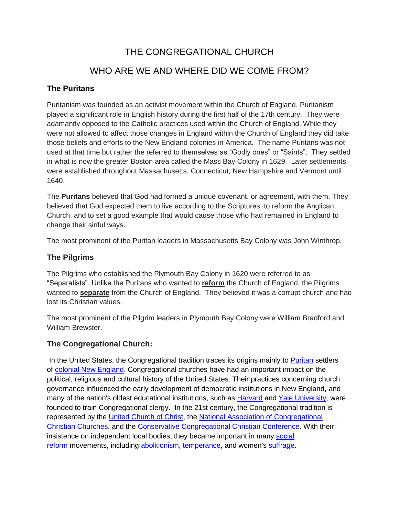## THE CONGREGATIONAL CHURCH WHO ARE WE AND WHERE DID WE COME FROM?

### **The Puritans**

Puritanism was founded as an activist movement within the Church of England. Puritanism played a significant role in English history during the first half of the 17th century. They were adamantly opposed to the Catholic practices used within the Church of England. While they were not allowed to affect those changes in England within the Church of England they did take those beliefs and efforts to the New England colonies in America. The name Puritans was not used at that time but rather the referred to themselves as "Godly ones" or "Saints". They settled in what is now the greater Boston area called the Mass Bay Colony in 1629. Later settlements were established throughout Massachusetts, Connecticut, New Hampshire and Vermont until 1640.

The **Puritans** believed that God had formed a unique covenant, or agreement, with them. They believed that God expected them to live according to the Scriptures, to reform the Anglican Church, and to set a good example that would cause those who had remained in England to change their sinful ways.

The most prominent of the Puritan leaders in Massachusetts Bay Colony was John Winthrop.

#### **The Pilgrims**

The Pilgrims who established the Plymouth Bay Colony in 1620 were referred to as "Separatists". Unlike the Puritans who wanted to **reform** the Church of England, the Pilgrims wanted to **separate** from the Church of England. They believed it was a corrupt church and had lost its Christian values.

The most prominent of the Pilgrim leaders in Plymouth Bay Colony were William Bradford and William Brewster.

#### **The Congregational Church:**

In the United States, the Congregational tradition traces its origins mainly to [Puritan](https://en.wikipedia.org/wiki/Puritan) settlers of [colonial New England.](https://en.wikipedia.org/wiki/Colonial_New_England) Congregational churches have had an important impact on the political, religious and cultural history of the United States. Their practices concerning church governance influenced the early development of democratic institutions in New England, and many of the nation's oldest educational institutions, such as [Harvard](https://en.wikipedia.org/wiki/Harvard_University) and [Yale University,](https://en.wikipedia.org/wiki/Yale_University) were founded to train Congregational clergy. In the 21st century, the Congregational tradition is represented by the [United Church of Christ,](https://en.wikipedia.org/wiki/United_Church_of_Christ) the [National Association of Congregational](https://en.wikipedia.org/wiki/National_Association_of_Congregational_Christian_Churches)  [Christian Churches,](https://en.wikipedia.org/wiki/National_Association_of_Congregational_Christian_Churches) and the [Conservative Congregational Christian Conference.](https://en.wikipedia.org/wiki/Conservative_Congregational_Christian_Conference) With their insistence on independent local bodies, they became important in many [social](https://en.wikipedia.org/wiki/Social_reform)  [reform](https://en.wikipedia.org/wiki/Social_reform) movements, including [abolitionism,](https://en.wikipedia.org/wiki/Abolitionism_in_the_United_States) [temperance,](https://en.wikipedia.org/wiki/Temperance_movement) and women's [suffrage.](https://en.wikipedia.org/wiki/Suffrage)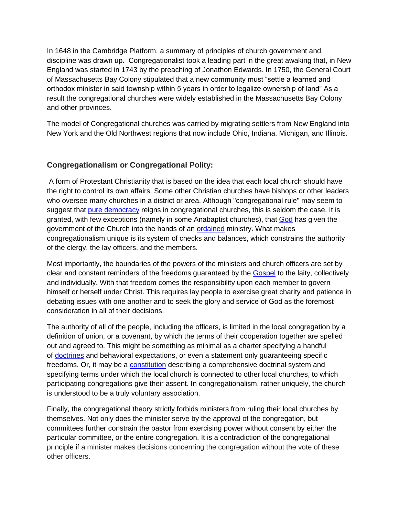In 1648 in the Cambridge Platform, a summary of principles of church government and discipline was drawn up. Congregationalist took a leading part in the great awaking that, in New England was started in 1743 by the preaching of Jonathon Edwards. In 1750, the General Court of Massachusetts Bay Colony stipulated that a new community must "settle a learned and orthodox minister in said township within 5 years in order to legalize ownership of land" As a result the congregational churches were widely established in the Massachusetts Bay Colony and other provinces.

The model of Congregational churches was carried by migrating settlers from New England into New York and the Old Northwest regions that now include Ohio, Indiana, Michigan, and Illinois.

#### **Congregationalism or Congregational Polity:**

A form of Protestant Christianity that is based on the idea that each local church should have the right to control its own affairs. Some other Christian churches have bishops or other leaders who oversee many churches in a district or area. Although "congregational rule" may seem to suggest that [pure democracy](https://en.wikipedia.org/wiki/Direct_democracy) reigns in congregational churches, this is seldom the case. It is granted, with few exceptions (namely in some Anabaptist churches), that [God](https://en.wikipedia.org/wiki/God) has given the government of the Church into the hands of an **[ordained](https://en.wikipedia.org/wiki/Ordination)** ministry. What makes congregationalism unique is its system of checks and balances, which constrains the authority of the clergy, the lay officers, and the members.

Most importantly, the boundaries of the powers of the ministers and church officers are set by clear and constant reminders of the freedoms guaranteed by the [Gospel](https://en.wikipedia.org/wiki/Gospel) to the laity, collectively and individually. With that freedom comes the responsibility upon each member to govern himself or herself under Christ. This requires lay people to exercise great charity and patience in debating issues with one another and to seek the glory and service of God as the foremost consideration in all of their decisions.

The authority of all of the people, including the officers, is limited in the local congregation by a definition of union, or a covenant, by which the terms of their cooperation together are spelled out and agreed to. This might be something as minimal as a charter specifying a handful of [doctrines](https://en.wikipedia.org/wiki/Doctrine) and behavioral expectations, or even a statement only guaranteeing specific freedoms. Or, it may be a [constitution](https://en.wikipedia.org/wiki/Constitution) describing a comprehensive doctrinal system and specifying terms under which the local church is connected to other local churches, to which participating congregations give their assent. In congregationalism, rather uniquely, the church is understood to be a truly voluntary association.

Finally, the congregational theory strictly forbids ministers from ruling their local churches by themselves. Not only does the minister serve by the approval of the congregation, but committees further constrain the pastor from exercising power without consent by either the particular committee, or the entire congregation. It is a contradiction of the congregational principle if a minister makes decisions concerning the congregation without the vote of these other officers.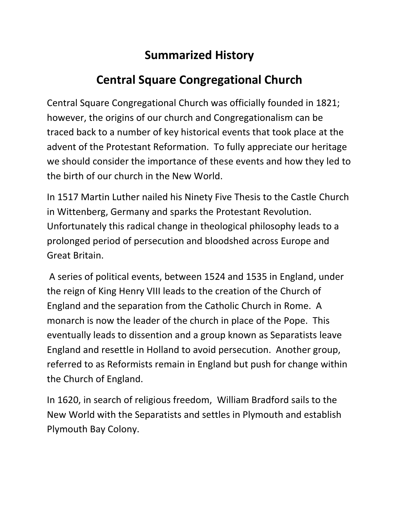## **Summarized History**

# **Central Square Congregational Church**

Central Square Congregational Church was officially founded in 1821; however, the origins of our church and Congregationalism can be traced back to a number of key historical events that took place at the advent of the Protestant Reformation. To fully appreciate our heritage we should consider the importance of these events and how they led to the birth of our church in the New World.

In 1517 Martin Luther nailed his Ninety Five Thesis to the Castle Church in Wittenberg, Germany and sparks the Protestant Revolution. Unfortunately this radical change in theological philosophy leads to a prolonged period of persecution and bloodshed across Europe and Great Britain.

A series of political events, between 1524 and 1535 in England, under the reign of King Henry VIII leads to the creation of the Church of England and the separation from the Catholic Church in Rome. A monarch is now the leader of the church in place of the Pope. This eventually leads to dissention and a group known as Separatists leave England and resettle in Holland to avoid persecution. Another group, referred to as Reformists remain in England but push for change within the Church of England.

In 1620, in search of religious freedom, William Bradford sails to the New World with the Separatists and settles in Plymouth and establish Plymouth Bay Colony.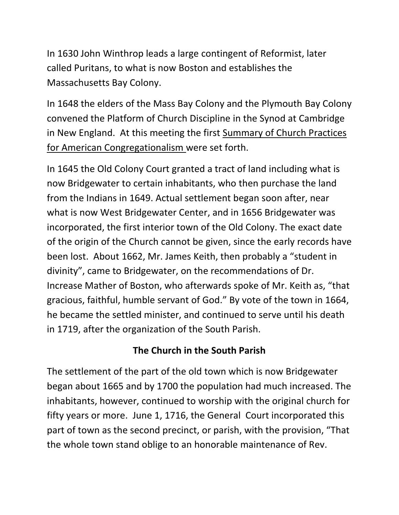In 1630 John Winthrop leads a large contingent of Reformist, later called Puritans, to what is now Boston and establishes the Massachusetts Bay Colony.

In 1648 the elders of the Mass Bay Colony and the Plymouth Bay Colony convened the Platform of Church Discipline in the Synod at Cambridge in New England. At this meeting the first Summary of Church Practices for American Congregationalism were set forth.

In 1645 the Old Colony Court granted a tract of land including what is now Bridgewater to certain inhabitants, who then purchase the land from the Indians in 1649. Actual settlement began soon after, near what is now West Bridgewater Center, and in 1656 Bridgewater was incorporated, the first interior town of the Old Colony. The exact date of the origin of the Church cannot be given, since the early records have been lost. About 1662, Mr. James Keith, then probably a "student in divinity", came to Bridgewater, on the recommendations of Dr. Increase Mather of Boston, who afterwards spoke of Mr. Keith as, "that gracious, faithful, humble servant of God." By vote of the town in 1664, he became the settled minister, and continued to serve until his death in 1719, after the organization of the South Parish.

### **The Church in the South Parish**

The settlement of the part of the old town which is now Bridgewater began about 1665 and by 1700 the population had much increased. The inhabitants, however, continued to worship with the original church for fifty years or more. June 1, 1716, the General Court incorporated this part of town as the second precinct, or parish, with the provision, "That the whole town stand oblige to an honorable maintenance of Rev.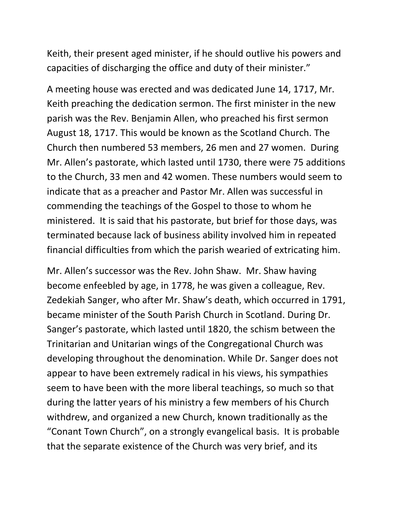Keith, their present aged minister, if he should outlive his powers and capacities of discharging the office and duty of their minister."

A meeting house was erected and was dedicated June 14, 1717, Mr. Keith preaching the dedication sermon. The first minister in the new parish was the Rev. Benjamin Allen, who preached his first sermon August 18, 1717. This would be known as the Scotland Church. The Church then numbered 53 members, 26 men and 27 women. During Mr. Allen's pastorate, which lasted until 1730, there were 75 additions to the Church, 33 men and 42 women. These numbers would seem to indicate that as a preacher and Pastor Mr. Allen was successful in commending the teachings of the Gospel to those to whom he ministered. It is said that his pastorate, but brief for those days, was terminated because lack of business ability involved him in repeated financial difficulties from which the parish wearied of extricating him.

Mr. Allen's successor was the Rev. John Shaw. Mr. Shaw having become enfeebled by age, in 1778, he was given a colleague, Rev. Zedekiah Sanger, who after Mr. Shaw's death, which occurred in 1791, became minister of the South Parish Church in Scotland. During Dr. Sanger's pastorate, which lasted until 1820, the schism between the Trinitarian and Unitarian wings of the Congregational Church was developing throughout the denomination. While Dr. Sanger does not appear to have been extremely radical in his views, his sympathies seem to have been with the more liberal teachings, so much so that during the latter years of his ministry a few members of his Church withdrew, and organized a new Church, known traditionally as the "Conant Town Church", on a strongly evangelical basis. It is probable that the separate existence of the Church was very brief, and its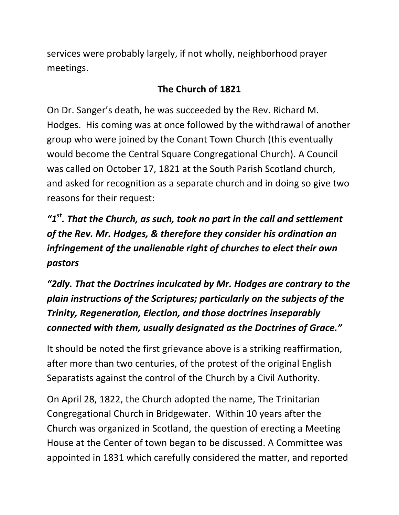services were probably largely, if not wholly, neighborhood prayer meetings.

### **The Church of 1821**

On Dr. Sanger's death, he was succeeded by the Rev. Richard M. Hodges. His coming was at once followed by the withdrawal of another group who were joined by the Conant Town Church (this eventually would become the Central Square Congregational Church). A Council was called on October 17, 1821 at the South Parish Scotland church, and asked for recognition as a separate church and in doing so give two reasons for their request:

*"1st. That the Church, as such, took no part in the call and settlement of the Rev. Mr. Hodges, & therefore they consider his ordination an infringement of the unalienable right of churches to elect their own pastors*

*"2dly. That the Doctrines inculcated by Mr. Hodges are contrary to the plain instructions of the Scriptures; particularly on the subjects of the Trinity, Regeneration, Election, and those doctrines inseparably connected with them, usually designated as the Doctrines of Grace."*

It should be noted the first grievance above is a striking reaffirmation, after more than two centuries, of the protest of the original English Separatists against the control of the Church by a Civil Authority.

On April 28, 1822, the Church adopted the name, The Trinitarian Congregational Church in Bridgewater. Within 10 years after the Church was organized in Scotland, the question of erecting a Meeting House at the Center of town began to be discussed. A Committee was appointed in 1831 which carefully considered the matter, and reported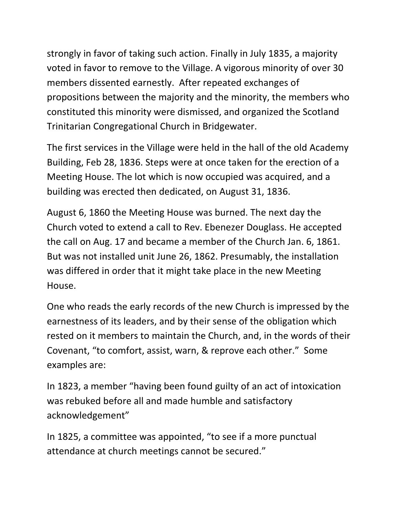strongly in favor of taking such action. Finally in July 1835, a majority voted in favor to remove to the Village. A vigorous minority of over 30 members dissented earnestly. After repeated exchanges of propositions between the majority and the minority, the members who constituted this minority were dismissed, and organized the Scotland Trinitarian Congregational Church in Bridgewater.

The first services in the Village were held in the hall of the old Academy Building, Feb 28, 1836. Steps were at once taken for the erection of a Meeting House. The lot which is now occupied was acquired, and a building was erected then dedicated, on August 31, 1836.

August 6, 1860 the Meeting House was burned. The next day the Church voted to extend a call to Rev. Ebenezer Douglass. He accepted the call on Aug. 17 and became a member of the Church Jan. 6, 1861. But was not installed unit June 26, 1862. Presumably, the installation was differed in order that it might take place in the new Meeting House.

One who reads the early records of the new Church is impressed by the earnestness of its leaders, and by their sense of the obligation which rested on it members to maintain the Church, and, in the words of their Covenant, "to comfort, assist, warn, & reprove each other." Some examples are:

In 1823, a member "having been found guilty of an act of intoxication was rebuked before all and made humble and satisfactory acknowledgement"

In 1825, a committee was appointed, "to see if a more punctual attendance at church meetings cannot be secured."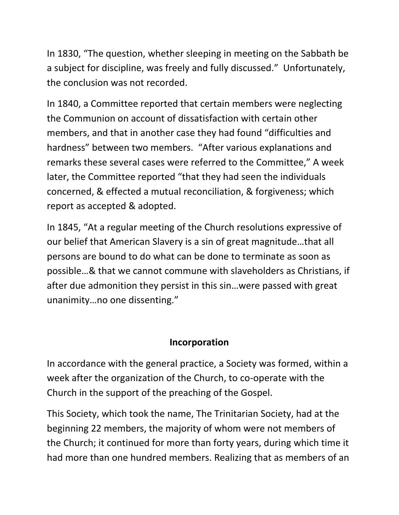In 1830, "The question, whether sleeping in meeting on the Sabbath be a subject for discipline, was freely and fully discussed." Unfortunately, the conclusion was not recorded.

In 1840, a Committee reported that certain members were neglecting the Communion on account of dissatisfaction with certain other members, and that in another case they had found "difficulties and hardness" between two members. "After various explanations and remarks these several cases were referred to the Committee," A week later, the Committee reported "that they had seen the individuals concerned, & effected a mutual reconciliation, & forgiveness; which report as accepted & adopted.

In 1845, "At a regular meeting of the Church resolutions expressive of our belief that American Slavery is a sin of great magnitude…that all persons are bound to do what can be done to terminate as soon as possible…& that we cannot commune with slaveholders as Christians, if after due admonition they persist in this sin…were passed with great unanimity…no one dissenting."

### **Incorporation**

In accordance with the general practice, a Society was formed, within a week after the organization of the Church, to co-operate with the Church in the support of the preaching of the Gospel.

This Society, which took the name, The Trinitarian Society, had at the beginning 22 members, the majority of whom were not members of the Church; it continued for more than forty years, during which time it had more than one hundred members. Realizing that as members of an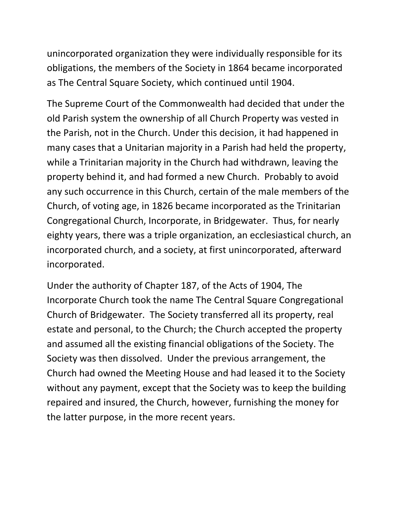unincorporated organization they were individually responsible for its obligations, the members of the Society in 1864 became incorporated as The Central Square Society, which continued until 1904.

The Supreme Court of the Commonwealth had decided that under the old Parish system the ownership of all Church Property was vested in the Parish, not in the Church. Under this decision, it had happened in many cases that a Unitarian majority in a Parish had held the property, while a Trinitarian majority in the Church had withdrawn, leaving the property behind it, and had formed a new Church. Probably to avoid any such occurrence in this Church, certain of the male members of the Church, of voting age, in 1826 became incorporated as the Trinitarian Congregational Church, Incorporate, in Bridgewater. Thus, for nearly eighty years, there was a triple organization, an ecclesiastical church, an incorporated church, and a society, at first unincorporated, afterward incorporated.

Under the authority of Chapter 187, of the Acts of 1904, The Incorporate Church took the name The Central Square Congregational Church of Bridgewater. The Society transferred all its property, real estate and personal, to the Church; the Church accepted the property and assumed all the existing financial obligations of the Society. The Society was then dissolved. Under the previous arrangement, the Church had owned the Meeting House and had leased it to the Society without any payment, except that the Society was to keep the building repaired and insured, the Church, however, furnishing the money for the latter purpose, in the more recent years.